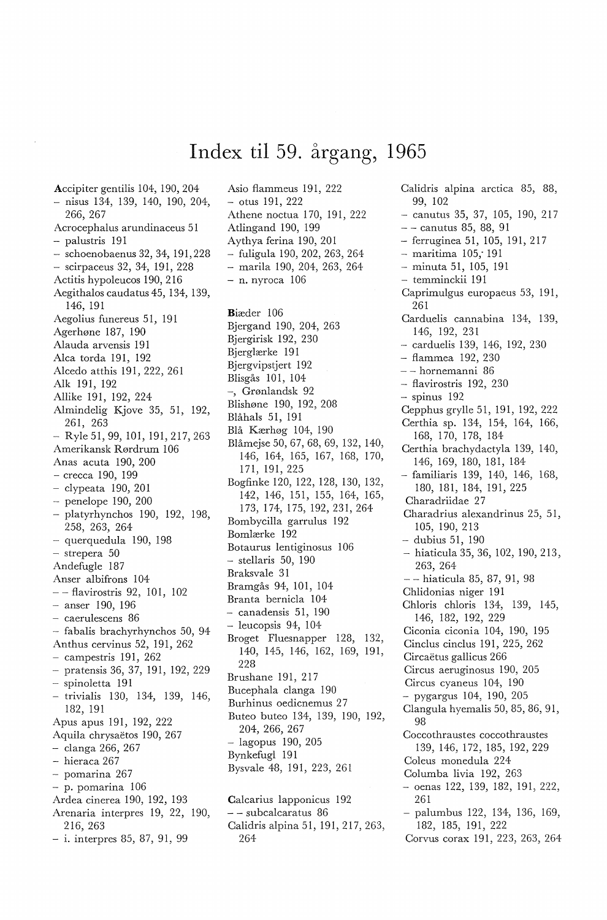## **Index til** 59. **årgang, 1965**

Accipiter gentilis 104, 190, 204 - nisus 134, 139, 140, 190, 204, 266, 267 ' Acrocephalus arundinaceus 51 - palustris 191 - schoenobaenus 32, 34, 191,228 - scirpaceus 32, 34, 191, 228 Actitis hypoleucos 190, 216 Aegithalos caudatus 45, 134, 139, 146, 191 Aegolius funereus 51, 191 Agerhøne 187, 190 Alauda arvensis 191 Alca torda 191, 192 Alcedo atthis 191, 222, 261 Alk 191, 192 Allike 191, 192, 224 Almindelig Kjove 35, 51, 192, 261, 263 Ryle 51, 99, 101, 191, 217, 263 Amerikansk Rørdrum 106 Anas acuta 190, 200 - crecca 190, 199 - clypeata 190, 201  $-$  penelope 190, 200 - platyrhynchos 190, 192, 198, 258, 263, 264 - querquedula 190, 198 - strepera 50 Andefugle 187 Anser albifrons 104 - flavirostris 92, 101, 102 anser 190, 196 - caerulescens 86 - fabalis brachyrhynchos 50, 94 Anthus cervinus 52, 191, 262 - campestris 191, 262 pratensis 36, 37, 191, 192, 229 - spinoletta 191 - trivialis 130, 134, 139, 146 182, 191 ' Apus apus 191, 192, 222 Aquila chrysaetos 190, 267 - clanga 266, 267 - hieraca 267 - pomarina 267 - p. pomarina 106 Ardea cinerea 190, 192, 193 Arenaria interpres 19, 22, 190 216, 263 ' - i. interpres 85, 87, 91, 99

Asio flammeus 191, 222 - otus 191, 222 Athene noctua 170, 191, 222 Atlingand 190, 199 Aythya ferina 190, 201 - fuligula 190, 202, 263, 264 marila 190, 204, 263, 264 - n. nyroca 106 Biæder 106 Bjergand 190, 204, 263 Bjergirisk 192, 230 Bjerglærke 191 Bjergvipstjert 192 Blisgås 101, 104 -, Grønlandsk 92 Blishøne 190, 192, 208 Blåhals 51, 191 Blå Kærhøg 104, 190 Blåmejse 50, 67, 68, 69, 132, 140, 146, 164, 165, 167, 168, 170, 171, 191, 225 Bogfinke 120, 122, 128, 130, 132, 142, 146, 151, 155, 164, 165, 173, 174, 175, 192, 231, 264 Bombycilla garrulus 192 Bomlærke 192 Botaurus lentiginosus 106 - stellaris 50, 190 Braksvale 31 Bramgås 94, 101, 104 Branta bernicla 104 - canadensis 51, 190 - leucopsis 94, 104 Broget Fluesnapper 128, 132, 140, 145, 146, 162, 169, 191, 228 Brushane 191, 217 Bucephala clanga 190 Burhinus oedicnemus 27 Buteo buteo 134, 139, 190, 192, 204, 266, 267 - lagopus 190, 205 Bynkefugl 191 Bysvale 48, 191, 223, 261 Calcarius lapponicus 192

- - subcalcaratus 86 Calidris alpina 51, 191, 217, 263,<br>264 Calidris alpina arctica 85, 88, 99, 102  $-$  canutus 35, 37, 105, 190, 217 - - canutus 85, 88, 91 - ferruginea 51, 105, 191, 217 - maritima 105; 191 minuta 51, 105, 191 - temminckii 191 Caprimulgus europaeus 53, 191, 261 Carduelis cannabina 134, 139, 146, 192, 231 - carduelis 139, 146, 192, 230 - flammea 192, 230 - - hornemanni 86 - flavirostris 192, 230 - spinus 192 Cepphus grylle 51, 191, 192, 222 Certhia sp. 134, 154, 164, 166, 168, 170, 178, 184 Certhia brachydactyla 139, 140, 146, 169, 180, 181, 184 - familiaris 139, 140, 146, 168, 180, 181, 184, 191, 225 Charadriidae 27 Charadrius alexandrinus 25, 51, 105, 190, 213 - dubius 51, 190 - hiaticula 35, 36, 102, 190, 213 263, 264 ' -- hiaticula 85, 87, 91, 98 Chlidonias niger 191 Chloris chloris 134, 139, 145, 146, 182, 192, 229 Ciconia ciconia 104, 190, 195 Cinclus cinclus 191, 225, 262 Circaëtus gallicus 266 Circus aeruginosus 190, 205 Circus cyaneus 104, 190 - pygargus 104, 190, 205 Clangula hyemalis 50, 85, 86, 91, 98 ' ' ' ' ' ' Coccothraustes coccothraustes 139, 146, 172, 185, 192, 229 Coleus monedula 224 Columba livia 192, 263  $-$  oenas 122, 139, 182, 191, 222,  $261$   $\hspace{1.5cm}$   $\hspace{1.5cm}$   $\hspace{1.5cm}$   $\hspace{1.5cm}$   $\hspace{1.5cm}$   $\hspace{1.5cm}$   $\hspace{1.5cm}$   $\hspace{1.5cm}$   $\hspace{1.5cm}$   $\hspace{1.5cm}$   $\hspace{1.5cm}$   $\hspace{1.5cm}$   $\hspace{1.5cm}$   $\hspace{1.5cm}$   $\hspace{1.5cm}$   $\hspace{1.5cm}$   $\hspace{1.5cm}$   $\hspace{1.5cm}$ - palumbus 122, 134, 136, 169, 182, 185, 191, 222 Corvus corax 191, 223, 263, 264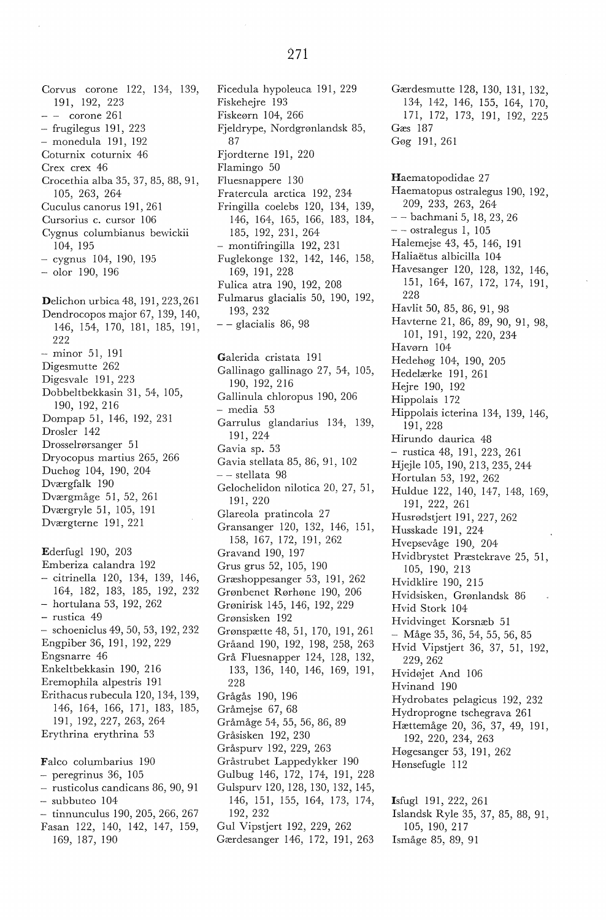Corvus corone 122, 134, 139, 191, 192, 223  $-$  - corone 261  $-$  frugilegus 191, 223 - monedula 191, 192 Coturnix coturnix 46 Crex crex 46 Crocethia alba 35, 37, 85, 88, 91, 105, 263, 264 Cuculus canorus 191, 261 Cursorius c. cursor 106 Cygnus columbianus bewickii 104, 195 - cygnus 104, 190, 195 olor 190, 196 Delichon urbica 48, 191, 223,261 Dendrocopos major 67, 139, 140, 146, 154, 170, 181, 185, 191, 222 minor 51, 191 Digesmutte 262 Digesvale 191, 223 Dobbeltbekkasin 31, 54, 105, 190, 192, 216 Dompap 51, 146, 192, 231 Drosler 142 Drosselrørsanger 51 Dryocopus martius 265, 266 Duehøg 104, 190, 204 Dværgfalk 190 Dværgmåge 51, 52, 261 Dværgryle 51, 105, 191 Dværgterne 191, 221 Ederfugl 190, 203 Emberiza calandra 192 - citrinella 120, 134, 139, 146, 164, 182, 183, 185, 192, 232 - hortulana 53, 192, 262 - rustica 49 - schoeniclus 49, 50, 53, 192, 232 Engpiber 36, 191, 192, 229 Engsnarre 46 Enkeltbekkasin 190, 216 Eremophila alpestris 191 Erithacus rubecula 120, 134, 139, 146, 164, 166, 171, 183, 185, 191, 192, 227, 263, 264

Falco columbarius 190 - peregrinus 36, 105 - rusticolus candicans 86, 90, 91 - subbuteo 104 - tinnunculus 190, 205, 266, 267 Fasan 122, 140, 142, 147, 159, 169, 187, 190

Erythrina erythrina 53

Ficedula hypoleuca 191, 229 Fiskehejre 193 Fiskeørn 104, 266 Fjeldrype, Nordgrønlandsk 85, 87 Fjordterne 191, 220 Flamingo 50 Fluesnappere 130 Fratercula arctica 192, 234 Fringilla coelebs 120, 134, 139, 146, 164, 165, 166, 183, 184, 185, 192, 231, 264 - montifringilla 192, 231 Fuglekonge 132, 142, 146, 158, 169, 191, 228 Fulica atra 190, 192, 208 Fulmarus glacialis 50, 190, 192, 193, 232  $-$  - glacialis 86, 98

Galerida cristata 191 Gallinago gallinago 27, 54, 105, 190, 192, 216 Gallinula chloropus 190, 206  $-$ media $\,53$ Garrulus glandarius 134, 139, 191, 224 Gavia sp. 53 Gavia stellata 85, 86, 91, 102 - - stellata 98 Gelochelidon nilotica 20, 27, 51, 191, 220 Glareola pratincola 27 Gransanger 120, 132, 146, 151, 158, 167, 172, 191, 262 Gravand 190, 197 Grus grus 52, 105, 190 Græshoppesanger 53, 191, 262 Grønbenet Rørhøne 190, 206 Grønirisk 145, 146, 192, 229 Grønsisken 192 Grønspætte 48, 51, 170, 191, 261 Gråand 190, 192, 198, 258, 263 Grå Fluesnapper 124, 128, 132, 133, 136, 140, 146, 169, 191, 228 Grågås 190, 196 Gråmejse 67, 68 Gråmåge 54, 55, 56, 86, 89 Gråsisken 192, 230 Gråspurv 192, 229, 263 Gråstrubet Lappedykker 190 Gulbug 146, 172, 174, 191, 228 Gulspurv 120, 128, 130, 132, 145, 146, 151, 155, 164, 173, 174, 192, 232 Gul Vipstjert 192, 229, 262

Gærdesanger 146, 172, 191, 263

171, 172, 173, 191, 192, 225 Gæs 187 Gøg 191, 261 Haematopodidae 27 Haematopus ostralegus 190, 192, 209, 233, 263, 264 - bachmani 5, 18, 23, 26  $-$  - ostralegus 1, 105 Halemejse 43, 45, 146, 191 Haliaetus al bicilla 104 Havesanger 120, 128, 132, 146, 151, 164, 167, 172, 174, 191, 228 Havlit 50, 85, 86, 91, 98 Havterne 21, 86, 89, 90, 91, 98, 101, 191, 192, 220, 234 Havørn 104 Hedehøg 104, 190, 205 Hedelærke 191, 261 Hejre 190, 192 Hippolais 172 Hippolais icterina 134, 139, 146, 191, 228 Hirundo daurica 48 - rustica 48, 191, 223, 261 Hjejle 105, 190, 213, 235, 244 Hortulan 53, 192, 262 Huldue 122, 140, 147, 148, 169, 191, 222, 261 Husrødstjert 191, 227, 262 Husskade 191, 224 Hvepsevåge 190, 204 Hvidbrystet Præstekrave 25, 51, 105, 190, 213 Hvidklire 190, 215 Hvidsisken, Grønlandsk 86 Hvid Stork 104 Hvidvinget Korsnæb 51 - Måge 35, 36, 54, 55, 56, 85 Hvid Vipstjert 36, 37, 51, 192, 229, 262 Hvidøjet And 106 Hvinand 190 Hydrobates pelagicus 192, 232 Hydroprogne tschegrava 261

Gærdesmutte 128, 130, 131, 132, 134, 142, 146, 155, 164, 170,

- Hættemåge 20, 36, 37, 49, 191, 192, 220, 234, 263 Høgesanger 53, 191, 262
- Hønsefugle 112

Isfugl 191, 222, 261 Islandsk Ryle 35, 37, 85, 88, 91, 105, 190, 217 Ismåge 85, 89, 91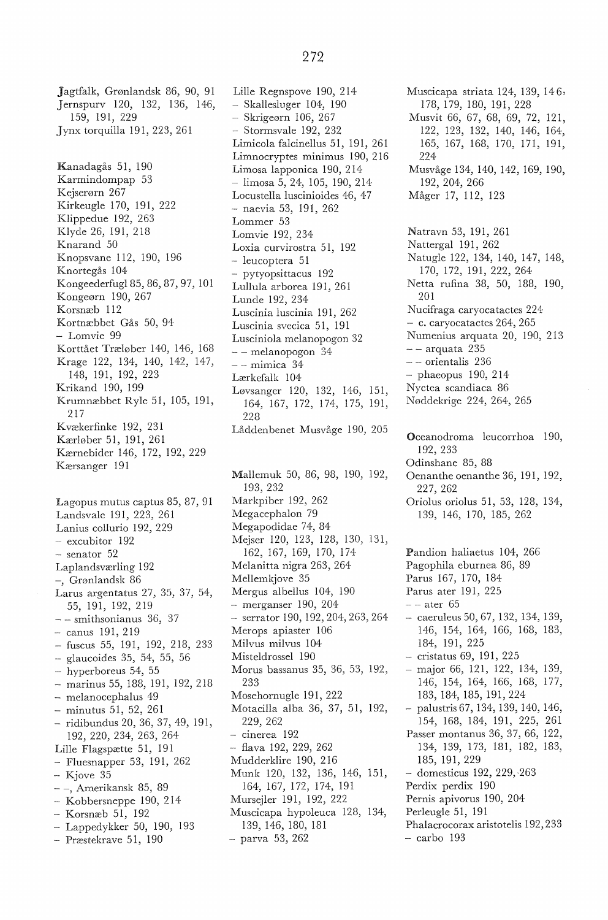272

Jagtfalk, Grønlandsk 86, 90, 91 Jernspurv 120, 132, 136, 146, 159, 191, 229 Jynx torquilla 191, 223, 261 Kanadagås 51, 190 Karmindompap 53 Kejserørn 267 Kirkeugle 170, 191, 222 Klippedue 192, 263 Klyde 26, 191, 218 Knarand 50 Knopsvane 112, 190, 196 Knortegås 104 Kongeederfugl85,86,87,97, 101 Kongeørn 190, 267 Korsnæb 112 Kortnæbbet Gås 50, 94 - Lomvie 99 Korttået Træløber 140, 146, 168 Krage 122, 134, 140, 142, 147, 148, 191, 192, 223 Krikand 190, 199 Krumnæbbet Ryle 51, 105, 191, 217 Kvækerfinke 192, 231 Kærløber 51, 191, 261 Kærnebider 146, 172, 192, 229 Kærsanger 191 Lagopus mutus captus 85, 87, 91 Landsvale 191, 223, 261 Lanius collurio 192, 229 - excubitor 192 - senator 52 Laplandsværling 192 -, Grønlandsk 86 Larus argentatus 27, 35, 37, 54, 55, 191, 192, 219 - - smithsonianus 36, 37 - canus 191, 219 - fuscus 55, 191, 192, 218, 233 glaucoides 35, 54, 55, 56 - hyperboreus 54, 55 - marinus 55, 188, 191, 192, 218 - melanocephalus 49 - minutus 51, 52, 261 - ridibundus 20, 36, 37, 49, 191, 192, 220, 234, 263, 264 Lille Flagspætte 51, 191 - Fluesnapper 53, 191, 262  $-$  Kjove 35 - -, Amerikansk 85, 89 - Kobbersneppe 190, 214 - Korsnæb 51, 192 - Lappedykker 50, 190, 193 - Præstekrave 51, 190

Lille Regnspove 190, 214 - Skallesluger 104, 190 Skrigeørn 106, 267 - Stormsvale 192, 232 Limicola falcinellus 51, 191, 261 Limnocryptes minimus 190, 216 Limosa lapponica 190, 214 limosa 5, 24, 105, 190, 214 Locustella luscinioides 46, 47 naevia 53, 191, 262 Lommer 53 Lomvie 192, 234 Loxia curvirostra 51, 192 leucoptera 51 - pytyopsittacus 192 Lullula arborea 191, 261 Lunde 192, 234 Luscinia luscinia 191, 262 Luscinia svecica 51, 191 Lusciniola melanopogon 32 -- melanopogon 34  $--$  mimica  $34$ Lærkefalk 104 Løvsanger 120, 132, 146, 151, 164, 167, 172, 174, 175, 191, 228 Låddenbenet Musvåge 190, 205 Mallemuk 50, 86, 98, 190, 192,

193, 232 Markpiber 192, 262 Megacephalon 79 Megapodidae 74, 84 Mejser 120, 123, 128, 130, 131, 162, 167, 169, 170, 174 Melanitta nigra 263, 264 Mellemkjove 35 Mergus albellus 104, 190 - merganser 190, 204 serrator 190, 192, 204, 263, 264 Merops apiaster 106 Milvus milvus 104· Misteldrossel 190 Morus bassanus 35, 36, 53, 192, 233 Mosehornugle 191, 222 Motacilla alba 36, 37, 51, 192, 229, 262 - cinerea 192 - flava 192, 229, 262 Mudderklire 190, 216 Munk 120, 132, 136, 146, 151, 164, 167, 172, 174, 191 Mursejler 191, 192, 222 Muscicapa hypoleuca 128, 134, 139, 146, 180, 181 parva 53, 262

Muscicapa striata 124, 139, 146, 178, 179, 180, 191, 228 Musvit 66, 67, 68, 69, 72, 121, 122, 123, 132, 140, 146, 164, 165, 167, 168, 170, 171, 191, 224 Musvåge 134, 140, 142, 169, 190, 192, 204, 266 Måger 17, 112, 123 Natravn 53, 191, 261 Nattergal 191, 262 Natugle 122, 134, 140, 147, 148, 170, 172, 191, 222, 264 Netta rufina 38, 50, 188, 190, 201 Nucifraga caryocatactes 224 - c. caryocatactes 264, 265 Numenius arquata 20, 190, 213 - - arquata 235 - - orientalis 236 - phaeopus 190, 214 Nyctea scandiaca 86 Nøddekrige 224, 264, 265 Oceanodroma leucorrhoa 190, 192, 233 Odinshane 85, 88 Oenanthe oenanthe 36, 191, 192, 227, 262 Oriolus oriolus 51, 53, 128, 134, 139, 146, 170, 185, 262 Pandion haliaetus 104, 266 Pagophila eburnea 86, 89 Parus 167, 170, 184 Parus ater 191, 225  $-$  - ater 65 caeruleus 50, 67, 132, 134, 139, 146, 154, 164, 166, 168, 183, 184, 191, 225 - cristatus 69, 191, 225 major 66, 121, 122, 134, 139, 146, 154, 164, 166, 168, 177, 183, 184, 185, 191, 224 - palustris 67, 134, 139, 140, 146, 154, 168, 184, 191, 225, 261 Passer montanus 36, 37, 66, 122, 134, 139, 173, 181, 182, 183, 185, 191, 229 - domesticus 192, 229, ·263 Perdix perdix 190 Pernis apivorus 190, 204 Perleugle 51, 191 Phalacrocorax aristotelis 192,233 - carbo 193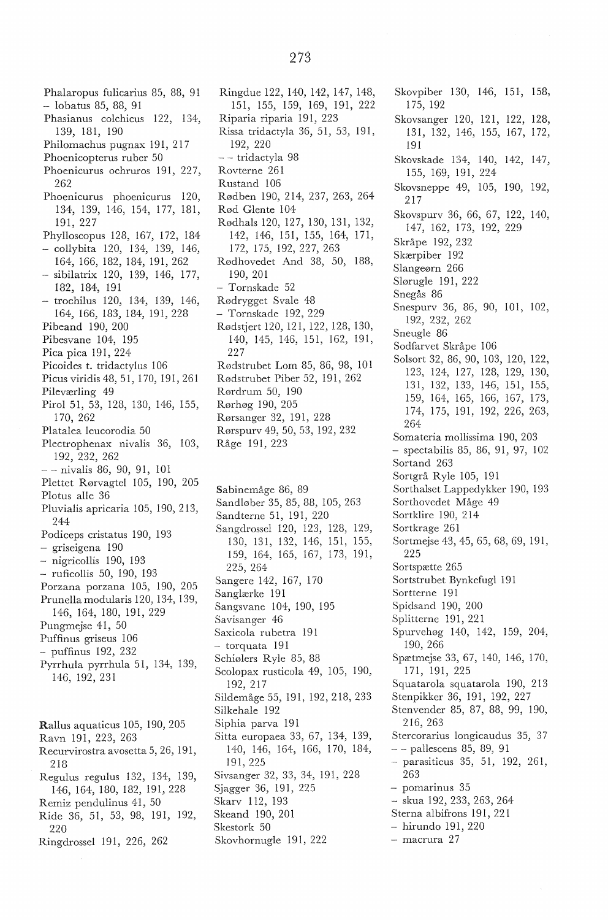Phalaropus fulicarius 85, 88, 91 lobatus 85, 88, 91 Phasianus colchicus 122, 134, 139, 181, 190 Philomachus pugnax 191, 217 Phoenicopterus ruber 50 Phoenicurus ochruros 191, 227, 262 Phoenicurus phoenicurus 120, 134, 139, 146, 154, 177, 181, 191, 227 Phylloscopus 128, 167, 172, 184 - collybita 120, 134, 139, 146, 164, 166, 182, 184, 191, 262 sibilatrix 120, 139, 146, 177, 182, 184, 191 - trochilus 120, 134, 139, 146, 164, 166, 183, 184, 191, 228 Pibeand 190, 200 Pibesvane 104, 195 Pica pica 191, 224 Picoides t. tridactylus 106 Picus viridis 48, 51, 170, 191, 261 Pileværling 49 Pirol 51, 53, 128, 130, 146, 155, 170, 262 Platalea leucorodia 50 Plectrophenax nivalis 36, 103, 192, 232, 262  $-$  - nivalis 86, 90, 91, 101 Plettet Rørvagtel 105, 190, 205 Plotus alle 36 Pluvialis apricaria 105, 190, 213, 244 Podiceps cristatus 190, 193 - griseigena 190 - nigricollis 190, 193 ruficollis 50, 190, 193 Porzana porzana 105, 190, 205 Prunellamodularis 120, 134, 139, 146, 164, 180, 191, 229 Pungmejse 41, 50 Puffinus griseus 106 - puffinus 192, 232 Pyrrhula pyrrhula 51, 134, 139, 146, 192, 231 Rallus aquaticus 105, 190, 205 Ravn 191, 223, 263 Recurvirostra avosetta 5, 26, 191, 218 Regulus regulus 132, 134, 139, 146, 164, 180, 182, 191, 228

- Remiz pendulinus 41, 50 Ride 36, 51, 53, 98, 191, 192, 220
- Ringdrossel 191, 226, 262

Ringdue 122, 140, 142, 147, 148, 151, 155, 159, 169, 191, 222 Riparia riparia 191, 223 Rissa tridactyla 36, 51, 53, 191, 192, 220 -- tridactyla 98 Rovterne 261 Rustand 106 Rødben 190, 214, 237, 263, 264 Rød Glente 104 Rødhals 120, 127, 130, 131, 132, 142, 146, 151, 155, 164, 171, 172, 175, 192, 227, 263 Rødhovedet And 38, 50, 188, 190, 201 - Tornskade 52 Rødrygget Svale 48 - Tornskade 192, 229 Rødstjert 120, 121, 122, 128, 130, 140, 145, 146, 151, 162, 191, 227 Rødstrubet Lom 85, 86, 98, 101 Rødstrubet Piber 52, 191, 262 Rørdrum 50, 190 Rørhøg 190, 205 Rørsanger 32, 191, 228 Rørspurv 49, 50, 53, 192, 232

Råge 191, 223

Sabinemåge 86, 89 Sandløber 35, 85, 88, 105, 263 Sandterne 51, 191, 220 Sangdrossel 120, 123, 128, 129, 130, 131, 132, 146, 151, 155, 159, 164, 165, 167, 173, 191, 225, 264 Sangere 142, 167, 170 Sanglærke 191 Sangsvane 104, 190, 195 Savisanger 46 Saxicola rubetra 191 - torquata 191 Schiølers Ryle 85, 88 Scolopax rusticola 49, 105, 190, 192, 217 Sildemåge 55, 191, 192, 218, 233 Silkehale 192 Siphia parva 191 Sitta europaea 33, 67, 134, 139, 140, 146, 164, 166, 170, 184, 191, 225 Sivsanger 32, 33, 34, 191, 228 Sjagger 36, 191, 225 Skarv 112, 193 Skeand 190, 201 Skestork 50 Skovhornugle 191, 222

Skovpiber 130, 146, 151, 158, 175, 192 Skovsanger 120, 121, 122, 128, 131, 132, 146, 155, 167, 172, 191 Skovskade 134, 140, 142, 147, 155, 169, 191, 224 Skovsneppe 49, 105, 190, 192, 217 Skovspurv 36, 66, 67, 122, 140, 147, 162, 173, 192, 229 Skråpe 192, 232 Skærpiber 192 Slangeørn 266 Slørugle 191, 222 Snegås 86 Snespurv 36, 86, 90, 101, 102, 192, 232, 262 Sneugle 86 Sodfarvet Skråpe 106 Solsort 32, 86, 90, 103, 120, 122, 123, 124, 127, 128, 129, 130, 131, 132, 133, 146, 151, 155, 159, 164, 165, 166, 167, 173, 174, 175, 191, 192, 226, 263, 264 Somateria mollissima 190, 203 - spectabilis 85, 86, 91, 97, 102 Sortand 263 Sortgrå Ryle 105, 191 Sorthalset Lappedykker 190, 193 Sorthovedet Måge 49 Sortklire 190, 214 Sortkrage 261 Sortmejse 43, 45, 65, 68, 69, 191, 225 Sortspætte 265 Sortstrubet Bynkefugl 191 Sortterne 191 Spidsand 190, 200 Splitterne 191, 221 Spurvehøg 140, 142, 159, 204, 190, 266 Spætmejse 33, 67, 140, 146, 170, 171, 191, 225 Squatarola squatarola 190, 213 Stenpikker 36, 191, 192, 227 Stenvender 85, 87, 88, 99, 190, 216, 263 Stercorarius longicaudus 35, 37 - - pallescens 85, 89, 91 parasiticus 35, 51, 192, 261, 263 - pomarinus 35 skua 192, 233, 263, 264 Sterna albifrons 191, 221 - hirundo 191, 220 - macrura 27